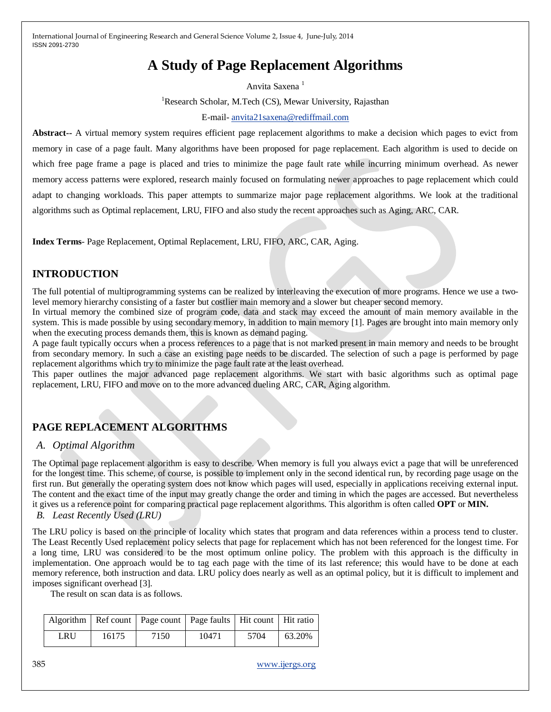# **A Study of Page Replacement Algorithms**

Anvita Saxena<sup>1</sup> <sup>1</sup>Research Scholar, M.Tech (CS), Mewar University, Rajasthan E-mail- [anvita21saxena@rediffmail.com](mailto:anvita21saxena@rediffmail.com)

**Abstract--** A virtual memory system requires efficient page replacement algorithms to make a decision which pages to evict from memory in case of a page fault. Many algorithms have been proposed for page replacement. Each algorithm is used to decide on which free page frame a page is placed and tries to minimize the page fault rate while incurring minimum overhead. As newer memory access patterns were explored, research mainly focused on formulating newer approaches to page replacement which could adapt to changing workloads. This paper attempts to summarize major page replacement algorithms. We look at the traditional algorithms such as Optimal replacement, LRU, FIFO and also study the recent approaches such as Aging, ARC, CAR.

**Index Terms**- Page Replacement, Optimal Replacement, LRU, FIFO, ARC, CAR, Aging.

## **INTRODUCTION**

The full potential of multiprogramming systems can be realized by interleaving the execution of more programs. Hence we use a twolevel memory hierarchy consisting of a faster but costlier main memory and a slower but cheaper second memory.

In virtual memory the combined size of program code, data and stack may exceed the amount of main memory available in the system. This is made possible by using secondary memory, in addition to main memory [1]. Pages are brought into main memory only when the executing process demands them, this is known as demand paging.

A page fault typically occurs when a process references to a page that is not marked present in main memory and needs to be brought from secondary memory. In such a case an existing page needs to be discarded. The selection of such a page is performed by page replacement algorithms which try to minimize the page fault rate at the least overhead.

This paper outlines the major advanced page replacement algorithms. We start with basic algorithms such as optimal page replacement, LRU, FIFO and move on to the more advanced dueling ARC, CAR, Aging algorithm.

# **PAGE REPLACEMENT ALGORITHMS**

### *A. Optimal Algorithm*

The Optimal page replacement algorithm is easy to describe. When memory is full you always evict a page that will be unreferenced for the longest time. This scheme, of course, is possible to implement only in the second identical run, by recording page usage on the first run. But generally the operating system does not know which pages will used, especially in applications receiving external input. The content and the exact time of the input may greatly change the order and timing in which the pages are accessed. But nevertheless it gives us a reference point for comparing practical page replacement algorithms. This algorithm is often called **OPT** or **MIN.** *B. Least Recently Used (LRU)*

The LRU policy is based on the principle of locality which states that program and data references within a process tend to cluster. The Least Recently Used replacement policy selects that page for replacement which has not been referenced for the longest time. For a long time, LRU was considered to be the most optimum online policy. The problem with this approach is the difficulty in implementation. One approach would be to tag each page with the time of its last reference; this would have to be done at each memory reference, both instruction and data. LRU policy does nearly as well as an optimal policy, but it is difficult to implement and imposes significant overhead [3].

The result on scan data is as follows.

|     |       | Algorithm   Ref count   Page count   Page faults   Hit count   Hit ratio |       |      |        |
|-----|-------|--------------------------------------------------------------------------|-------|------|--------|
| LRU | 16175 | 7150                                                                     | 10471 | 5704 | 63.20% |

385 [www.ijergs.org](http://www.ijergs.org/)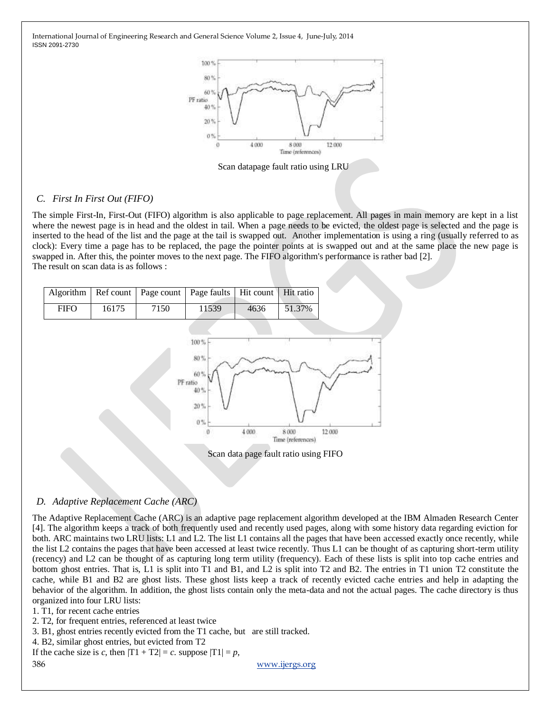

Scan datapage fault ratio using LRU

#### *C. First In First Out (FIFO)*

The simple First-In, First-Out (FIFO) algorithm is also applicable to page replacement. All pages in main memory are kept in a list where the newest page is in head and the oldest in tail. When a page needs to be evicted, the oldest page is selected and the page is inserted to the head of the list and the page at the tail is swapped out. Another implementation is using a ring (usually referred to as clock): Every time a page has to be replaced, the page the pointer points at is swapped out and at the same place the new page is swapped in. After this, the pointer moves to the next page. The FIFO algorithm's performance is rather bad [2]. The result on scan data is as follows :

|             |       |      | Algorithm   Ref count   Page count   Page faults   Hit count   Hit ratio |      |        |
|-------------|-------|------|--------------------------------------------------------------------------|------|--------|
| <b>FIFO</b> | 16175 | 7150 | 11539                                                                    | 4636 | 51.37% |



Scan data page fault ratio using FIFO

#### *D. Adaptive Replacement Cache (ARC)*

The Adaptive Replacement Cache (ARC) is an adaptive page replacement algorithm developed at the IBM Almaden Research Center [4]. The algorithm keeps a track of both frequently used and recently used pages, along with some history data regarding eviction for both. ARC maintains two LRU lists: L1 and L2. The list L1 contains all the pages that have been accessed exactly once recently, while the list L2 contains the pages that have been accessed at least twice recently. Thus L1 can be thought of as capturing short-term utility (recency) and L2 can be thought of as capturing long term utility (frequency). Each of these lists is split into top cache entries and bottom ghost entries. That is, L1 is split into T1 and B1, and L2 is split into T2 and B2. The entries in T1 union T2 constitute the cache, while B1 and B2 are ghost lists. These ghost lists keep a track of recently evicted cache entries and help in adapting the behavior of the algorithm. In addition, the ghost lists contain only the meta-data and not the actual pages. The cache directory is thus organized into four LRU lists:

1. T1, for recent cache entries

2. T2, for frequent entries, referenced at least twice

3. B1, ghost entries recently evicted from the T1 cache, but are still tracked.

4. B2, similar ghost entries, but evicted from T2

If the cache size is *c*, then  $|T1 + T2| = c$ . suppose  $|T1| = p$ ,

386 [www.ijergs.org](http://www.ijergs.org/)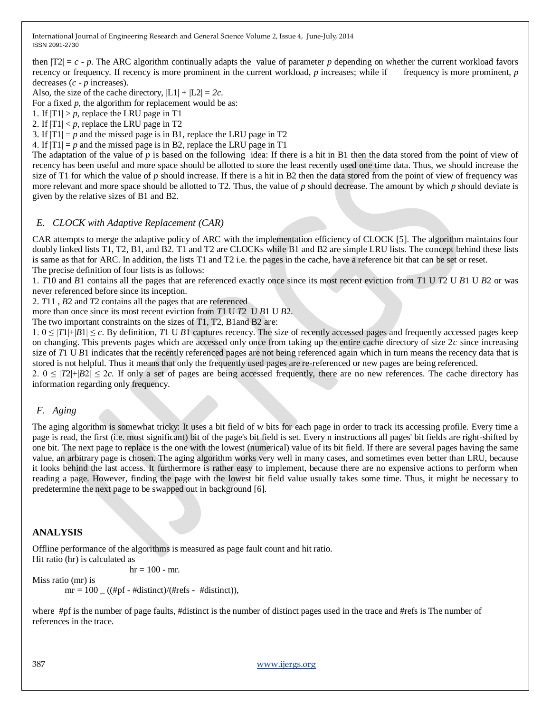then  $|T2| = c - p$ . The ARC algorithm continually adapts the value of parameter p depending on whether the current workload favors recency or frequency. If recency is more prominent in the current workload, *p* increases; while if frequency is more prominent, *p* decreases (*c* - *p* increases).

Also, the size of the cache directory,  $|L1| + |L2| = 2c$ .

For a fixed  $p$ , the algorithm for replacement would be as:

1. If  $|T1| > p$ , replace the LRU page in T1

2. If  $|T1| < p$ , replace the LRU page in T2

3. If  $|T1| = p$  and the missed page is in B1, replace the LRU page in T2

4. If  $|T_1| = p$  and the missed page is in B2, replace the LRU page in T1

The adaptation of the value of *p* is based on the following idea: If there is a hit in B1 then the data stored from the point of view of recency has been useful and more space should be allotted to store the least recently used one time data. Thus, we should increase the size of T1 for which the value of *p* should increase. If there is a hit in B2 then the data stored from the point of view of frequency was more relevant and more space should be allotted to T2. Thus, the value of *p* should decrease. The amount by which *p* should deviate is given by the relative sizes of B1 and B2.

#### *E. CLOCK with Adaptive Replacement (CAR)*

CAR attempts to merge the adaptive policy of ARC with the implementation efficiency of CLOCK [5]. The algorithm maintains four doubly linked lists T1, T2, B1, and B2. T1 and T2 are CLOCKs while B1 and B2 are simple LRU lists. The concept behind these lists is same as that for ARC. In addition, the lists T1 and T2 i.e. the pages in the cache, have a reference bit that can be set or reset. The precise definition of four lists is as follows:

1. *T*10 and *B*1 contains all the pages that are referenced exactly once since its most recent eviction from *T*1 U *T*2 U *B*1 U *B*2 or was never referenced before since its inception.

2. *T*11 , *B*2 and *T*2 contains all the pages that are referenced

more than once since its most recent eviction from *T*1 U *T*2 U *B*1 U *B*2.

The two important constraints on the sizes of T1, T2, B1and B2 are:

 $1.0 \leq |T1| + |B1| \leq c$ . By definition, *T1* U *B1* captures recency. The size of recently accessed pages and frequently accessed pages keep on changing. This prevents pages which are accessed only once from taking up the entire cache directory of size 2*c* since increasing size of *T*1 U *B*1 indicates that the recently referenced pages are not being referenced again which in turn means the recency data that is stored is not helpful. Thus it means that only the frequently used pages are re-referenced or new pages are being referenced.

2.  $0 \leq |T2|+|B2| \leq 2c$ . If only a set of pages are being accessed frequently, there are no new references. The cache directory has information regarding only frequency.

#### *F. Aging*

The aging algorithm is somewhat tricky: It uses a bit field of w bits for each page in order to track its accessing profile. Every time a page is read, the first (i.e. most significant) bit of the page's bit field is set. Every n instructions all pages' bit fields are right-shifted by one bit. The next page to replace is the one with the lowest (numerical) value of its bit field. If there are several pages having the same value, an arbitrary page is chosen. The aging algorithm works very well in many cases, and sometimes even better than LRU, because it looks behind the last access. It furthermore is rather easy to implement, because there are no expensive actions to perform when reading a page. However, finding the page with the lowest bit field value usually takes some time. Thus, it might be necessary to predetermine the next page to be swapped out in background [6].

#### **ANALYSIS**

Offline performance of the algorithms is measured as page fault count and hit ratio. Hit ratio (hr) is calculated as

 $hr = 100 - mr$ .

Miss ratio (mr) is

 $mr = 100$  ((#pf - #distinct)/(#refs - #distinct)),

where #pf is the number of page faults, #distinct is the number of distinct pages used in the trace and #refs is The number of references in the trace.